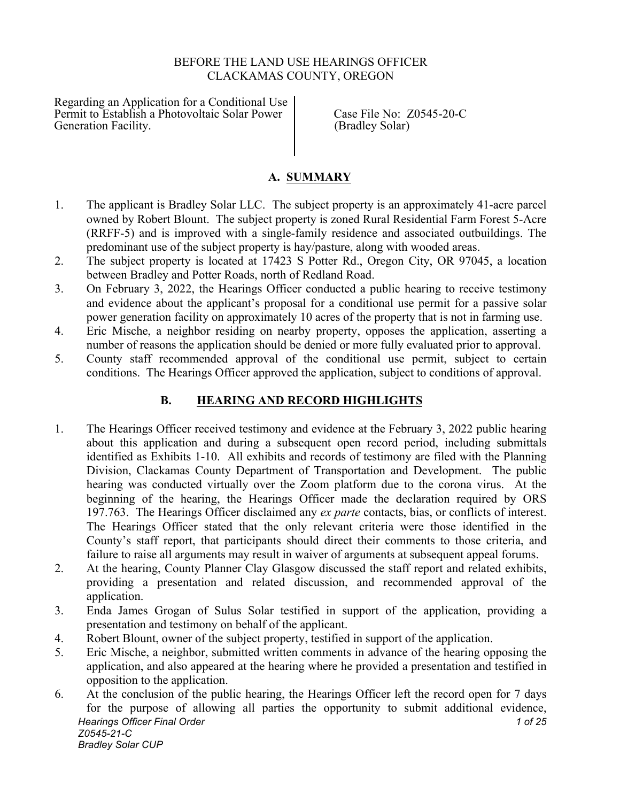### BEFORE THE LAND USE HEARINGS OFFICER CLACKAMAS COUNTY, OREGON

Regarding an Application for a Conditional Use Permit to Establish a Photovoltaic Solar Power Case File No: Z0545-20-C<br>Generation Facility. (Bradley Solar)

(Bradley Solar)

#### **A. SUMMARY**

- 1. The applicant is Bradley Solar LLC. The subject property is an approximately 41-acre parcel owned by Robert Blount. The subject property is zoned Rural Residential Farm Forest 5-Acre (RRFF-5) and is improved with a single-family residence and associated outbuildings. The predominant use of the subject property is hay/pasture, along with wooded areas.
- 2. The subject property is located at 17423 S Potter Rd., Oregon City, OR 97045, a location between Bradley and Potter Roads, north of Redland Road.
- 3. On February 3, 2022, the Hearings Officer conducted a public hearing to receive testimony and evidence about the applicant's proposal for a conditional use permit for a passive solar power generation facility on approximately 10 acres of the property that is not in farming use.
- 4. Eric Mische, a neighbor residing on nearby property, opposes the application, asserting a number of reasons the application should be denied or more fully evaluated prior to approval.
- 5. County staff recommended approval of the conditional use permit, subject to certain conditions. The Hearings Officer approved the application, subject to conditions of approval.

# **B. HEARING AND RECORD HIGHLIGHTS**

- 1. The Hearings Officer received testimony and evidence at the February 3, 2022 public hearing about this application and during a subsequent open record period, including submittals identified as Exhibits 1-10. All exhibits and records of testimony are filed with the Planning Division, Clackamas County Department of Transportation and Development. The public hearing was conducted virtually over the Zoom platform due to the corona virus. At the beginning of the hearing, the Hearings Officer made the declaration required by ORS 197.763. The Hearings Officer disclaimed any *ex parte* contacts, bias, or conflicts of interest. The Hearings Officer stated that the only relevant criteria were those identified in the County's staff report, that participants should direct their comments to those criteria, and failure to raise all arguments may result in waiver of arguments at subsequent appeal forums.
- 2. At the hearing, County Planner Clay Glasgow discussed the staff report and related exhibits, providing a presentation and related discussion, and recommended approval of the application.
- 3. Enda James Grogan of Sulus Solar testified in support of the application, providing a presentation and testimony on behalf of the applicant.
- 4. Robert Blount, owner of the subject property, testified in support of the application.
- 5. Eric Mische, a neighbor, submitted written comments in advance of the hearing opposing the application, and also appeared at the hearing where he provided a presentation and testified in opposition to the application.
- *Hearings Officer Final Order 1 of 25 Z0545-21-C Bradley Solar CUP* 6. At the conclusion of the public hearing, the Hearings Officer left the record open for 7 days for the purpose of allowing all parties the opportunity to submit additional evidence,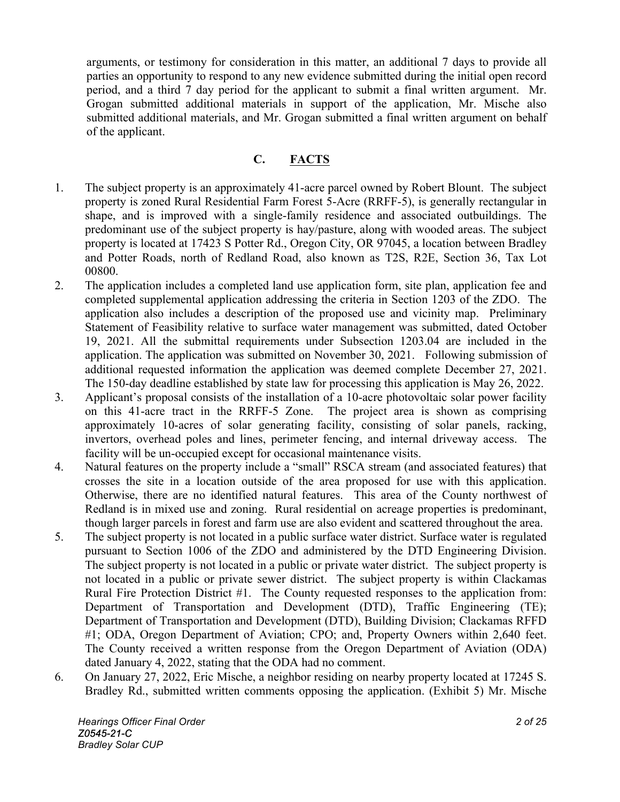arguments, or testimony for consideration in this matter, an additional 7 days to provide all parties an opportunity to respond to any new evidence submitted during the initial open record period, and a third 7 day period for the applicant to submit a final written argument. Mr. Grogan submitted additional materials in support of the application, Mr. Mische also submitted additional materials, and Mr. Grogan submitted a final written argument on behalf of the applicant.

# **C. FACTS**

- 1. The subject property is an approximately 41-acre parcel owned by Robert Blount. The subject property is zoned Rural Residential Farm Forest 5-Acre (RRFF-5), is generally rectangular in shape, and is improved with a single-family residence and associated outbuildings. The predominant use of the subject property is hay/pasture, along with wooded areas. The subject property is located at 17423 S Potter Rd., Oregon City, OR 97045, a location between Bradley and Potter Roads, north of Redland Road, also known as T2S, R2E, Section 36, Tax Lot 00800.
- 2. The application includes a completed land use application form, site plan, application fee and completed supplemental application addressing the criteria in Section 1203 of the ZDO. The application also includes a description of the proposed use and vicinity map. Preliminary Statement of Feasibility relative to surface water management was submitted, dated October 19, 2021. All the submittal requirements under Subsection 1203.04 are included in the application. The application was submitted on November 30, 2021. Following submission of additional requested information the application was deemed complete December 27, 2021. The 150-day deadline established by state law for processing this application is May 26, 2022.
- 3. Applicant's proposal consists of the installation of a 10-acre photovoltaic solar power facility on this 41-acre tract in the RRFF-5 Zone. The project area is shown as comprising approximately 10-acres of solar generating facility, consisting of solar panels, racking, invertors, overhead poles and lines, perimeter fencing, and internal driveway access. The facility will be un-occupied except for occasional maintenance visits.
- 4. Natural features on the property include a "small" RSCA stream (and associated features) that crosses the site in a location outside of the area proposed for use with this application. Otherwise, there are no identified natural features. This area of the County northwest of Redland is in mixed use and zoning. Rural residential on acreage properties is predominant, though larger parcels in forest and farm use are also evident and scattered throughout the area.
- 5. The subject property is not located in a public surface water district. Surface water is regulated pursuant to Section 1006 of the ZDO and administered by the DTD Engineering Division. The subject property is not located in a public or private water district. The subject property is not located in a public or private sewer district. The subject property is within Clackamas Rural Fire Protection District #1. The County requested responses to the application from: Department of Transportation and Development (DTD), Traffic Engineering (TE); Department of Transportation and Development (DTD), Building Division; Clackamas RFFD #1; ODA, Oregon Department of Aviation; CPO; and, Property Owners within 2,640 feet. The County received a written response from the Oregon Department of Aviation (ODA) dated January 4, 2022, stating that the ODA had no comment.
- 6. On January 27, 2022, Eric Mische, a neighbor residing on nearby property located at 17245 S. Bradley Rd., submitted written comments opposing the application. (Exhibit 5) Mr. Mische

*Hearings Officer Final Order 2 of 25 Z0545-21-C Bradley Solar CUP*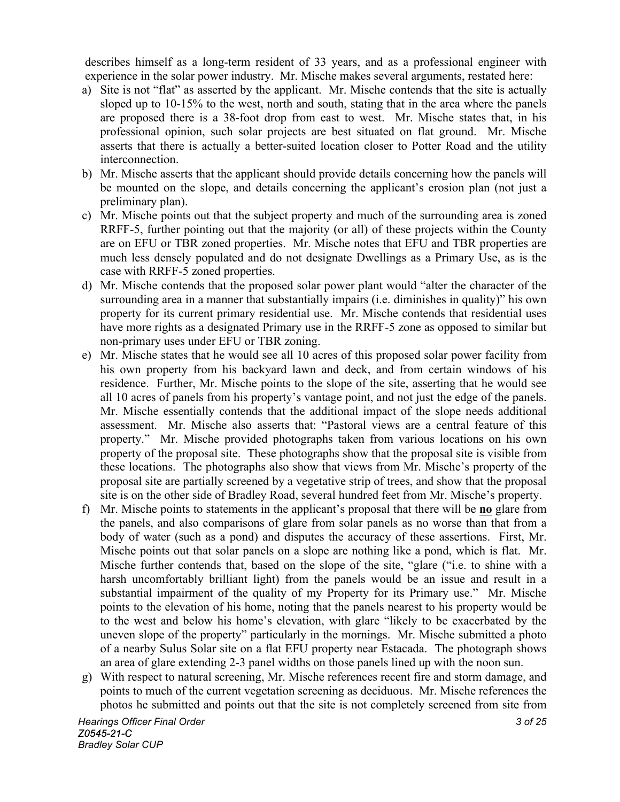describes himself as a long-term resident of 33 years, and as a professional engineer with experience in the solar power industry. Mr. Mische makes several arguments, restated here:

- a) Site is not "flat" as asserted by the applicant. Mr. Mische contends that the site is actually sloped up to 10-15% to the west, north and south, stating that in the area where the panels are proposed there is a 38-foot drop from east to west. Mr. Mische states that, in his professional opinion, such solar projects are best situated on flat ground. Mr. Mische asserts that there is actually a better-suited location closer to Potter Road and the utility interconnection.
- b) Mr. Mische asserts that the applicant should provide details concerning how the panels will be mounted on the slope, and details concerning the applicant's erosion plan (not just a preliminary plan).
- c) Mr. Mische points out that the subject property and much of the surrounding area is zoned RRFF-5, further pointing out that the majority (or all) of these projects within the County are on EFU or TBR zoned properties. Mr. Mische notes that EFU and TBR properties are much less densely populated and do not designate Dwellings as a Primary Use, as is the case with RRFF-5 zoned properties.
- d) Mr. Mische contends that the proposed solar power plant would "alter the character of the surrounding area in a manner that substantially impairs (i.e. diminishes in quality)" his own property for its current primary residential use. Mr. Mische contends that residential uses have more rights as a designated Primary use in the RRFF-5 zone as opposed to similar but non-primary uses under EFU or TBR zoning.
- e) Mr. Mische states that he would see all 10 acres of this proposed solar power facility from his own property from his backyard lawn and deck, and from certain windows of his residence. Further, Mr. Mische points to the slope of the site, asserting that he would see all 10 acres of panels from his property's vantage point, and not just the edge of the panels. Mr. Mische essentially contends that the additional impact of the slope needs additional assessment. Mr. Mische also asserts that: "Pastoral views are a central feature of this property." Mr. Mische provided photographs taken from various locations on his own property of the proposal site. These photographs show that the proposal site is visible from these locations. The photographs also show that views from Mr. Mische's property of the proposal site are partially screened by a vegetative strip of trees, and show that the proposal site is on the other side of Bradley Road, several hundred feet from Mr. Mische's property.
- f) Mr. Mische points to statements in the applicant's proposal that there will be **no** glare from the panels, and also comparisons of glare from solar panels as no worse than that from a body of water (such as a pond) and disputes the accuracy of these assertions. First, Mr. Mische points out that solar panels on a slope are nothing like a pond, which is flat. Mr. Mische further contends that, based on the slope of the site, "glare ("i.e. to shine with a harsh uncomfortably brilliant light) from the panels would be an issue and result in a substantial impairment of the quality of my Property for its Primary use." Mr. Mische points to the elevation of his home, noting that the panels nearest to his property would be to the west and below his home's elevation, with glare "likely to be exacerbated by the uneven slope of the property" particularly in the mornings. Mr. Mische submitted a photo of a nearby Sulus Solar site on a flat EFU property near Estacada. The photograph shows an area of glare extending 2-3 panel widths on those panels lined up with the noon sun.
- g) With respect to natural screening, Mr. Mische references recent fire and storm damage, and points to much of the current vegetation screening as deciduous. Mr. Mische references the photos he submitted and points out that the site is not completely screened from site from

*Hearings Officer Final Order 3 of 25 Z0545-21-C Bradley Solar CUP*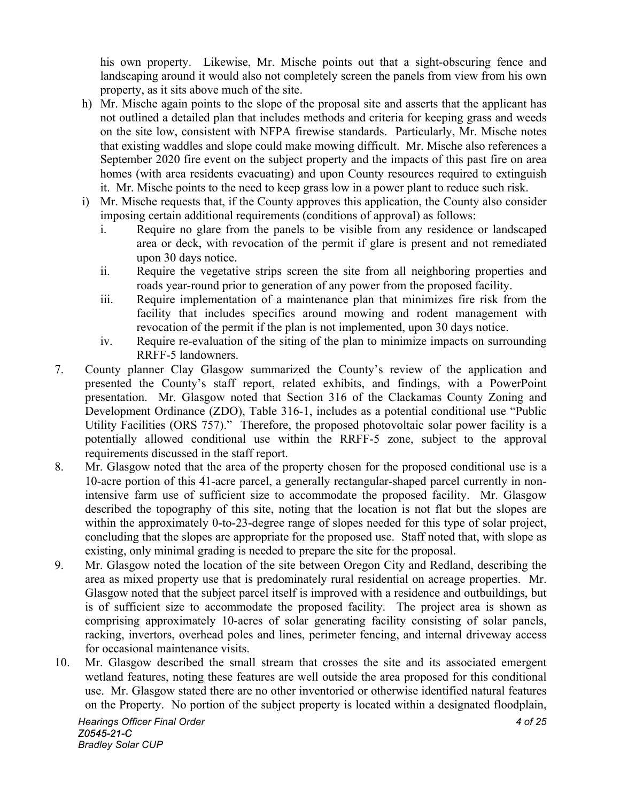his own property. Likewise, Mr. Mische points out that a sight-obscuring fence and landscaping around it would also not completely screen the panels from view from his own property, as it sits above much of the site.

- h) Mr. Mische again points to the slope of the proposal site and asserts that the applicant has not outlined a detailed plan that includes methods and criteria for keeping grass and weeds on the site low, consistent with NFPA firewise standards. Particularly, Mr. Mische notes that existing waddles and slope could make mowing difficult. Mr. Mische also references a September 2020 fire event on the subject property and the impacts of this past fire on area homes (with area residents evacuating) and upon County resources required to extinguish it. Mr. Mische points to the need to keep grass low in a power plant to reduce such risk.
- i) Mr. Mische requests that, if the County approves this application, the County also consider imposing certain additional requirements (conditions of approval) as follows:
	- i. Require no glare from the panels to be visible from any residence or landscaped area or deck, with revocation of the permit if glare is present and not remediated upon 30 days notice.
	- ii. Require the vegetative strips screen the site from all neighboring properties and roads year-round prior to generation of any power from the proposed facility.
	- iii. Require implementation of a maintenance plan that minimizes fire risk from the facility that includes specifics around mowing and rodent management with revocation of the permit if the plan is not implemented, upon 30 days notice.
	- iv. Require re-evaluation of the siting of the plan to minimize impacts on surrounding RRFF-5 landowners.
- 7. County planner Clay Glasgow summarized the County's review of the application and presented the County's staff report, related exhibits, and findings, with a PowerPoint presentation. Mr. Glasgow noted that Section 316 of the Clackamas County Zoning and Development Ordinance (ZDO), Table 316-1, includes as a potential conditional use "Public Utility Facilities (ORS 757)." Therefore, the proposed photovoltaic solar power facility is a potentially allowed conditional use within the RRFF-5 zone, subject to the approval requirements discussed in the staff report.
- 8. Mr. Glasgow noted that the area of the property chosen for the proposed conditional use is a 10-acre portion of this 41-acre parcel, a generally rectangular-shaped parcel currently in nonintensive farm use of sufficient size to accommodate the proposed facility. Mr. Glasgow described the topography of this site, noting that the location is not flat but the slopes are within the approximately 0-to-23-degree range of slopes needed for this type of solar project, concluding that the slopes are appropriate for the proposed use. Staff noted that, with slope as existing, only minimal grading is needed to prepare the site for the proposal.
- 9. Mr. Glasgow noted the location of the site between Oregon City and Redland, describing the area as mixed property use that is predominately rural residential on acreage properties. Mr. Glasgow noted that the subject parcel itself is improved with a residence and outbuildings, but is of sufficient size to accommodate the proposed facility. The project area is shown as comprising approximately 10-acres of solar generating facility consisting of solar panels, racking, invertors, overhead poles and lines, perimeter fencing, and internal driveway access for occasional maintenance visits.
- 10. Mr. Glasgow described the small stream that crosses the site and its associated emergent wetland features, noting these features are well outside the area proposed for this conditional use. Mr. Glasgow stated there are no other inventoried or otherwise identified natural features on the Property. No portion of the subject property is located within a designated floodplain,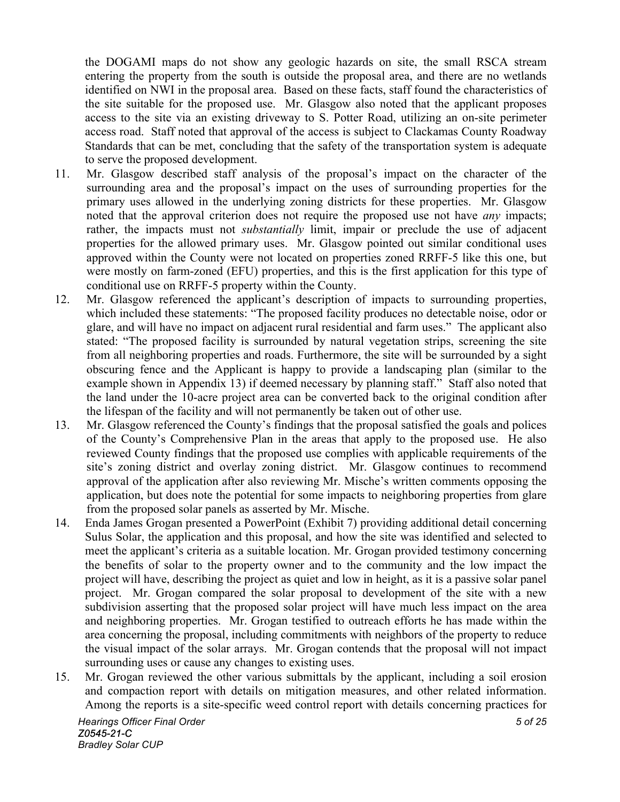the DOGAMI maps do not show any geologic hazards on site, the small RSCA stream entering the property from the south is outside the proposal area, and there are no wetlands identified on NWI in the proposal area. Based on these facts, staff found the characteristics of the site suitable for the proposed use. Mr. Glasgow also noted that the applicant proposes access to the site via an existing driveway to S. Potter Road, utilizing an on-site perimeter access road. Staff noted that approval of the access is subject to Clackamas County Roadway Standards that can be met, concluding that the safety of the transportation system is adequate to serve the proposed development.

- 11. Mr. Glasgow described staff analysis of the proposal's impact on the character of the surrounding area and the proposal's impact on the uses of surrounding properties for the primary uses allowed in the underlying zoning districts for these properties. Mr. Glasgow noted that the approval criterion does not require the proposed use not have *any* impacts; rather, the impacts must not *substantially* limit, impair or preclude the use of adjacent properties for the allowed primary uses. Mr. Glasgow pointed out similar conditional uses approved within the County were not located on properties zoned RRFF-5 like this one, but were mostly on farm-zoned (EFU) properties, and this is the first application for this type of conditional use on RRFF-5 property within the County.
- 12. Mr. Glasgow referenced the applicant's description of impacts to surrounding properties, which included these statements: "The proposed facility produces no detectable noise, odor or glare, and will have no impact on adjacent rural residential and farm uses." The applicant also stated: "The proposed facility is surrounded by natural vegetation strips, screening the site from all neighboring properties and roads. Furthermore, the site will be surrounded by a sight obscuring fence and the Applicant is happy to provide a landscaping plan (similar to the example shown in Appendix 13) if deemed necessary by planning staff." Staff also noted that the land under the 10-acre project area can be converted back to the original condition after the lifespan of the facility and will not permanently be taken out of other use.
- 13. Mr. Glasgow referenced the County's findings that the proposal satisfied the goals and polices of the County's Comprehensive Plan in the areas that apply to the proposed use. He also reviewed County findings that the proposed use complies with applicable requirements of the site's zoning district and overlay zoning district. Mr. Glasgow continues to recommend approval of the application after also reviewing Mr. Mische's written comments opposing the application, but does note the potential for some impacts to neighboring properties from glare from the proposed solar panels as asserted by Mr. Mische.
- 14. Enda James Grogan presented a PowerPoint (Exhibit 7) providing additional detail concerning Sulus Solar, the application and this proposal, and how the site was identified and selected to meet the applicant's criteria as a suitable location. Mr. Grogan provided testimony concerning the benefits of solar to the property owner and to the community and the low impact the project will have, describing the project as quiet and low in height, as it is a passive solar panel project. Mr. Grogan compared the solar proposal to development of the site with a new subdivision asserting that the proposed solar project will have much less impact on the area and neighboring properties. Mr. Grogan testified to outreach efforts he has made within the area concerning the proposal, including commitments with neighbors of the property to reduce the visual impact of the solar arrays. Mr. Grogan contends that the proposal will not impact surrounding uses or cause any changes to existing uses.
- 15. Mr. Grogan reviewed the other various submittals by the applicant, including a soil erosion and compaction report with details on mitigation measures, and other related information. Among the reports is a site-specific weed control report with details concerning practices for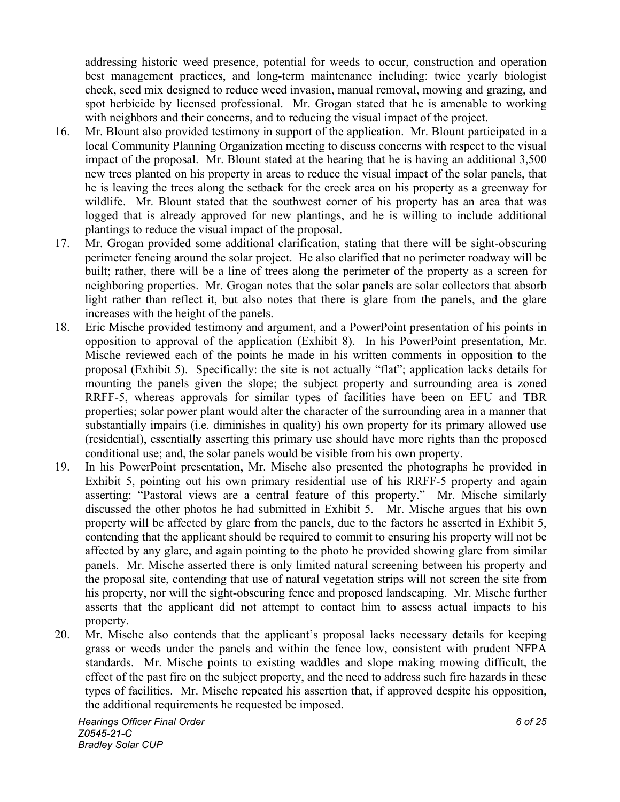addressing historic weed presence, potential for weeds to occur, construction and operation best management practices, and long-term maintenance including: twice yearly biologist check, seed mix designed to reduce weed invasion, manual removal, mowing and grazing, and spot herbicide by licensed professional. Mr. Grogan stated that he is amenable to working with neighbors and their concerns, and to reducing the visual impact of the project.

- 16. Mr. Blount also provided testimony in support of the application. Mr. Blount participated in a local Community Planning Organization meeting to discuss concerns with respect to the visual impact of the proposal. Mr. Blount stated at the hearing that he is having an additional 3,500 new trees planted on his property in areas to reduce the visual impact of the solar panels, that he is leaving the trees along the setback for the creek area on his property as a greenway for wildlife. Mr. Blount stated that the southwest corner of his property has an area that was logged that is already approved for new plantings, and he is willing to include additional plantings to reduce the visual impact of the proposal.
- 17. Mr. Grogan provided some additional clarification, stating that there will be sight-obscuring perimeter fencing around the solar project. He also clarified that no perimeter roadway will be built; rather, there will be a line of trees along the perimeter of the property as a screen for neighboring properties. Mr. Grogan notes that the solar panels are solar collectors that absorb light rather than reflect it, but also notes that there is glare from the panels, and the glare increases with the height of the panels.
- 18. Eric Mische provided testimony and argument, and a PowerPoint presentation of his points in opposition to approval of the application (Exhibit 8). In his PowerPoint presentation, Mr. Mische reviewed each of the points he made in his written comments in opposition to the proposal (Exhibit 5). Specifically: the site is not actually "flat"; application lacks details for mounting the panels given the slope; the subject property and surrounding area is zoned RRFF-5, whereas approvals for similar types of facilities have been on EFU and TBR properties; solar power plant would alter the character of the surrounding area in a manner that substantially impairs (i.e. diminishes in quality) his own property for its primary allowed use (residential), essentially asserting this primary use should have more rights than the proposed conditional use; and, the solar panels would be visible from his own property.
- 19. In his PowerPoint presentation, Mr. Mische also presented the photographs he provided in Exhibit 5, pointing out his own primary residential use of his RRFF-5 property and again asserting: "Pastoral views are a central feature of this property." Mr. Mische similarly discussed the other photos he had submitted in Exhibit 5. Mr. Mische argues that his own property will be affected by glare from the panels, due to the factors he asserted in Exhibit 5, contending that the applicant should be required to commit to ensuring his property will not be affected by any glare, and again pointing to the photo he provided showing glare from similar panels. Mr. Mische asserted there is only limited natural screening between his property and the proposal site, contending that use of natural vegetation strips will not screen the site from his property, nor will the sight-obscuring fence and proposed landscaping. Mr. Mische further asserts that the applicant did not attempt to contact him to assess actual impacts to his property.
- 20. Mr. Mische also contends that the applicant's proposal lacks necessary details for keeping grass or weeds under the panels and within the fence low, consistent with prudent NFPA standards. Mr. Mische points to existing waddles and slope making mowing difficult, the effect of the past fire on the subject property, and the need to address such fire hazards in these types of facilities. Mr. Mische repeated his assertion that, if approved despite his opposition, the additional requirements he requested be imposed.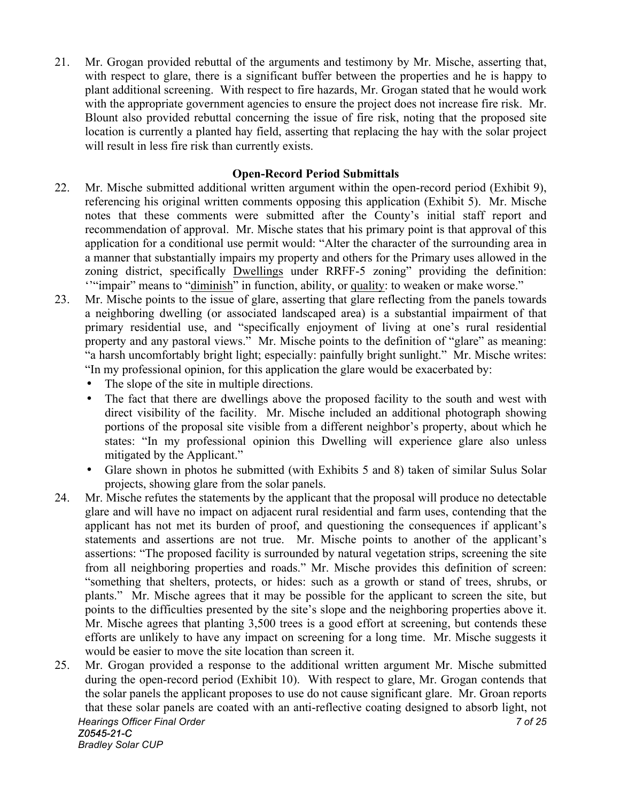21. Mr. Grogan provided rebuttal of the arguments and testimony by Mr. Mische, asserting that, with respect to glare, there is a significant buffer between the properties and he is happy to plant additional screening. With respect to fire hazards, Mr. Grogan stated that he would work with the appropriate government agencies to ensure the project does not increase fire risk. Mr. Blount also provided rebuttal concerning the issue of fire risk, noting that the proposed site location is currently a planted hay field, asserting that replacing the hay with the solar project will result in less fire risk than currently exists.

#### **Open-Record Period Submittals**

- 22. Mr. Mische submitted additional written argument within the open-record period (Exhibit 9), referencing his original written comments opposing this application (Exhibit 5). Mr. Mische notes that these comments were submitted after the County's initial staff report and recommendation of approval. Mr. Mische states that his primary point is that approval of this application for a conditional use permit would: "Alter the character of the surrounding area in a manner that substantially impairs my property and others for the Primary uses allowed in the zoning district, specifically Dwellings under RRFF-5 zoning" providing the definition: ''"impair" means to "diminish" in function, ability, or quality: to weaken or make worse."
- 23. Mr. Mische points to the issue of glare, asserting that glare reflecting from the panels towards a neighboring dwelling (or associated landscaped area) is a substantial impairment of that primary residential use, and "specifically enjoyment of living at one's rural residential property and any pastoral views." Mr. Mische points to the definition of "glare" as meaning: "a harsh uncomfortably bright light; especially: painfully bright sunlight." Mr. Mische writes: "In my professional opinion, for this application the glare would be exacerbated by:
	- The slope of the site in multiple directions.
	- The fact that there are dwellings above the proposed facility to the south and west with direct visibility of the facility. Mr. Mische included an additional photograph showing portions of the proposal site visible from a different neighbor's property, about which he states: "In my professional opinion this Dwelling will experience glare also unless mitigated by the Applicant."
	- Glare shown in photos he submitted (with Exhibits 5 and 8) taken of similar Sulus Solar projects, showing glare from the solar panels.
- 24. Mr. Mische refutes the statements by the applicant that the proposal will produce no detectable glare and will have no impact on adjacent rural residential and farm uses, contending that the applicant has not met its burden of proof, and questioning the consequences if applicant's statements and assertions are not true. Mr. Mische points to another of the applicant's assertions: "The proposed facility is surrounded by natural vegetation strips, screening the site from all neighboring properties and roads." Mr. Mische provides this definition of screen: "something that shelters, protects, or hides: such as a growth or stand of trees, shrubs, or plants." Mr. Mische agrees that it may be possible for the applicant to screen the site, but points to the difficulties presented by the site's slope and the neighboring properties above it. Mr. Mische agrees that planting 3,500 trees is a good effort at screening, but contends these efforts are unlikely to have any impact on screening for a long time. Mr. Mische suggests it would be easier to move the site location than screen it.
- *Hearings Officer Final Order 7 of 25 Z0545-21-C Bradley Solar CUP* 25. Mr. Grogan provided a response to the additional written argument Mr. Mische submitted during the open-record period (Exhibit 10). With respect to glare, Mr. Grogan contends that the solar panels the applicant proposes to use do not cause significant glare. Mr. Groan reports that these solar panels are coated with an anti-reflective coating designed to absorb light, not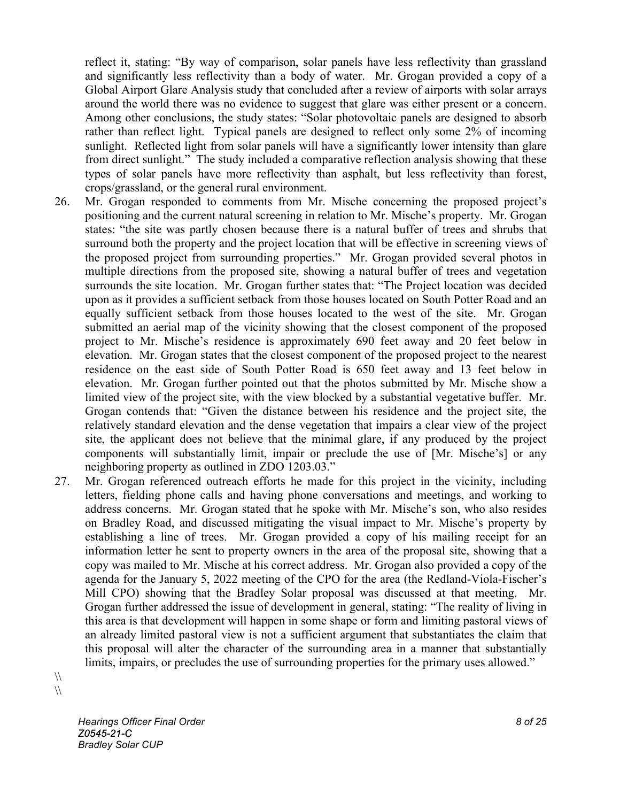reflect it, stating: "By way of comparison, solar panels have less reflectivity than grassland and significantly less reflectivity than a body of water. Mr. Grogan provided a copy of a Global Airport Glare Analysis study that concluded after a review of airports with solar arrays around the world there was no evidence to suggest that glare was either present or a concern. Among other conclusions, the study states: "Solar photovoltaic panels are designed to absorb rather than reflect light. Typical panels are designed to reflect only some 2% of incoming sunlight. Reflected light from solar panels will have a significantly lower intensity than glare from direct sunlight." The study included a comparative reflection analysis showing that these types of solar panels have more reflectivity than asphalt, but less reflectivity than forest, crops/grassland, or the general rural environment.

- 26. Mr. Grogan responded to comments from Mr. Mische concerning the proposed project's positioning and the current natural screening in relation to Mr. Mische's property. Mr. Grogan states: "the site was partly chosen because there is a natural buffer of trees and shrubs that surround both the property and the project location that will be effective in screening views of the proposed project from surrounding properties." Mr. Grogan provided several photos in multiple directions from the proposed site, showing a natural buffer of trees and vegetation surrounds the site location. Mr. Grogan further states that: "The Project location was decided upon as it provides a sufficient setback from those houses located on South Potter Road and an equally sufficient setback from those houses located to the west of the site. Mr. Grogan submitted an aerial map of the vicinity showing that the closest component of the proposed project to Mr. Mische's residence is approximately 690 feet away and 20 feet below in elevation. Mr. Grogan states that the closest component of the proposed project to the nearest residence on the east side of South Potter Road is 650 feet away and 13 feet below in elevation. Mr. Grogan further pointed out that the photos submitted by Mr. Mische show a limited view of the project site, with the view blocked by a substantial vegetative buffer. Mr. Grogan contends that: "Given the distance between his residence and the project site, the relatively standard elevation and the dense vegetation that impairs a clear view of the project site, the applicant does not believe that the minimal glare, if any produced by the project components will substantially limit, impair or preclude the use of [Mr. Mische's] or any neighboring property as outlined in ZDO 1203.03."
- 27. Mr. Grogan referenced outreach efforts he made for this project in the vicinity, including letters, fielding phone calls and having phone conversations and meetings, and working to address concerns. Mr. Grogan stated that he spoke with Mr. Mische's son, who also resides on Bradley Road, and discussed mitigating the visual impact to Mr. Mische's property by establishing a line of trees. Mr. Grogan provided a copy of his mailing receipt for an information letter he sent to property owners in the area of the proposal site, showing that a copy was mailed to Mr. Mische at his correct address. Mr. Grogan also provided a copy of the agenda for the January 5, 2022 meeting of the CPO for the area (the Redland-Viola-Fischer's Mill CPO) showing that the Bradley Solar proposal was discussed at that meeting. Mr. Grogan further addressed the issue of development in general, stating: "The reality of living in this area is that development will happen in some shape or form and limiting pastoral views of an already limited pastoral view is not a sufficient argument that substantiates the claim that this proposal will alter the character of the surrounding area in a manner that substantially limits, impairs, or precludes the use of surrounding properties for the primary uses allowed."

 $\sqrt{}$  $\sqrt{}$ 

> *Hearings Officer Final Order 8 of 25 Z0545-21-C Bradley Solar CUP*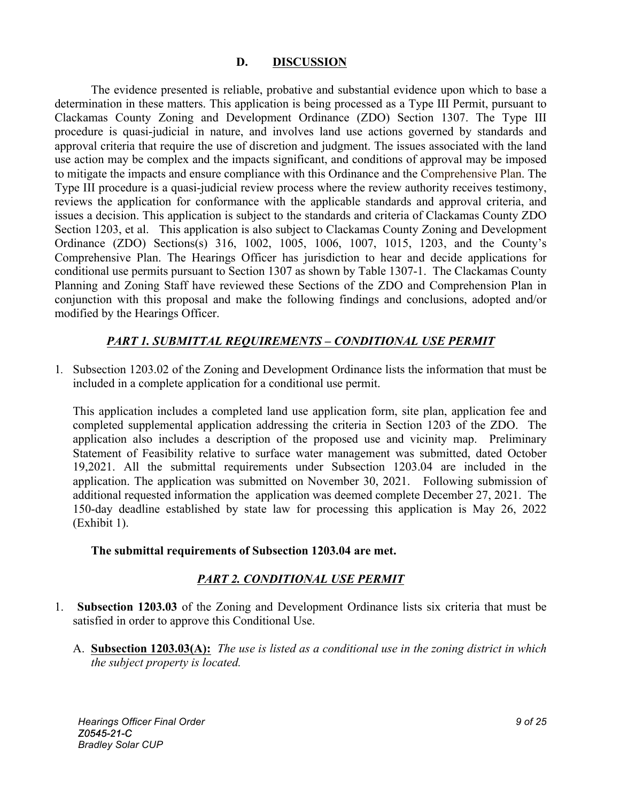#### **D. DISCUSSION**

The evidence presented is reliable, probative and substantial evidence upon which to base a determination in these matters. This application is being processed as a Type III Permit, pursuant to Clackamas County Zoning and Development Ordinance (ZDO) Section 1307. The Type III procedure is quasi-judicial in nature, and involves land use actions governed by standards and approval criteria that require the use of discretion and judgment. The issues associated with the land use action may be complex and the impacts significant, and conditions of approval may be imposed to mitigate the impacts and ensure compliance with this Ordinance and the Comprehensive Plan. The Type III procedure is a quasi-judicial review process where the review authority receives testimony, reviews the application for conformance with the applicable standards and approval criteria, and issues a decision. This application is subject to the standards and criteria of Clackamas County ZDO Section 1203, et al. This application is also subject to Clackamas County Zoning and Development Ordinance (ZDO) Sections(s) 316, 1002, 1005, 1006, 1007, 1015, 1203, and the County's Comprehensive Plan. The Hearings Officer has jurisdiction to hear and decide applications for conditional use permits pursuant to Section 1307 as shown by Table 1307-1. The Clackamas County Planning and Zoning Staff have reviewed these Sections of the ZDO and Comprehension Plan in conjunction with this proposal and make the following findings and conclusions, adopted and/or modified by the Hearings Officer.

## *PART 1. SUBMITTAL REQUIREMENTS – CONDITIONAL USE PERMIT*

1*.* Subsection 1203.02 of the Zoning and Development Ordinance lists the information that must be included in a complete application for a conditional use permit.

This application includes a completed land use application form, site plan, application fee and completed supplemental application addressing the criteria in Section 1203 of the ZDO. The application also includes a description of the proposed use and vicinity map. Preliminary Statement of Feasibility relative to surface water management was submitted, dated October 19,2021. All the submittal requirements under Subsection 1203.04 are included in the application. The application was submitted on November 30, 2021. Following submission of additional requested information the application was deemed complete December 27, 2021. The 150-day deadline established by state law for processing this application is May 26, 2022 (Exhibit 1).

#### **The submittal requirements of Subsection 1203.04 are met.**

## *PART 2. CONDITIONAL USE PERMIT*

- 1. **Subsection 1203.03** of the Zoning and Development Ordinance lists six criteria that must be satisfied in order to approve this Conditional Use.
	- A. **Subsection 1203.03(A):** *The use is listed as a conditional use in the zoning district in which the subject property is located.*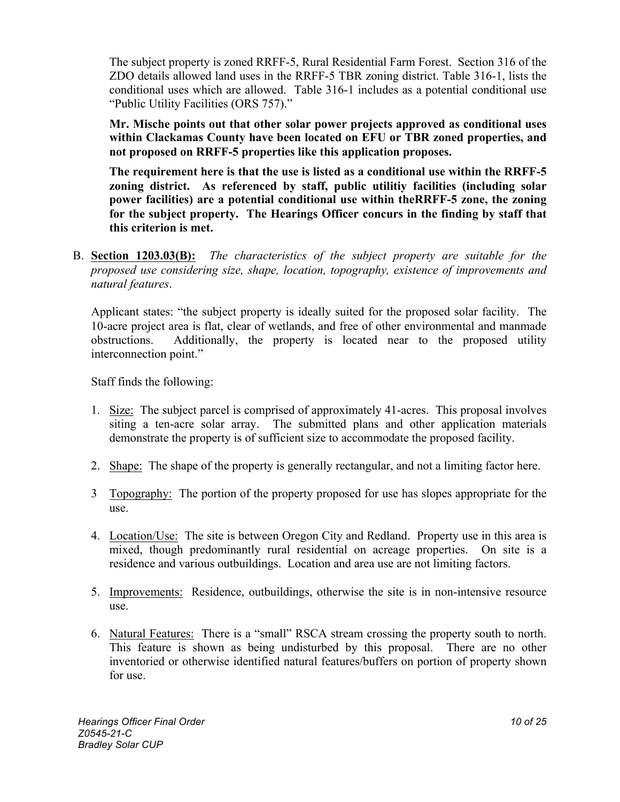The subject property is zoned RRFF-5, Rural Residential Farm Forest. Section 316 of the ZDO details allowed land uses in the RRFF-5 TBR zoning district. Table 316-1, lists the conditional uses which are allowed. Table 316-1 includes as a potential conditional use "Public Utility Facilities (ORS 757)."

**Mr. Mische points out that other solar power projects approved as conditional uses within Clackamas County have been located on EFU or TBR zoned properties, and not proposed on RRFF-5 properties like this application proposes.**

**The requirement here is that the use is listed as a conditional use within the RRFF-5 zoning district. As referenced by staff, public utilitiy facilities (including solar power facilities) are a potential conditional use within theRRFF-5 zone, the zoning for the subject property. The Hearings Officer concurs in the finding by staff that this criterion is met.**

B. **Section 1203.03(B):** *The characteristics of the subject property are suitable for the proposed use considering size, shape, location, topography, existence of improvements and natural features*.

Applicant states: "the subject property is ideally suited for the proposed solar facility. The 10-acre project area is flat, clear of wetlands, and free of other environmental and manmade obstructions. Additionally, the property is located near to the proposed utility interconnection point."

Staff finds the following:

- 1. Size: The subject parcel is comprised of approximately 41-acres. This proposal involves siting a ten-acre solar array. The submitted plans and other application materials demonstrate the property is of sufficient size to accommodate the proposed facility.
- 2. Shape: The shape of the property is generally rectangular, and not a limiting factor here.
- 3 Topography: The portion of the property proposed for use has slopes appropriate for the use.
- 4. Location/Use: The site is between Oregon City and Redland. Property use in this area is mixed, though predominantly rural residential on acreage properties. On site is a residence and various outbuildings. Location and area use are not limiting factors.
- 5. Improvements: Residence, outbuildings, otherwise the site is in non-intensive resource use.
- 6. Natural Features: There is a "small" RSCA stream crossing the property south to north. This feature is shown as being undisturbed by this proposal. There are no other inventoried or otherwise identified natural features/buffers on portion of property shown for use.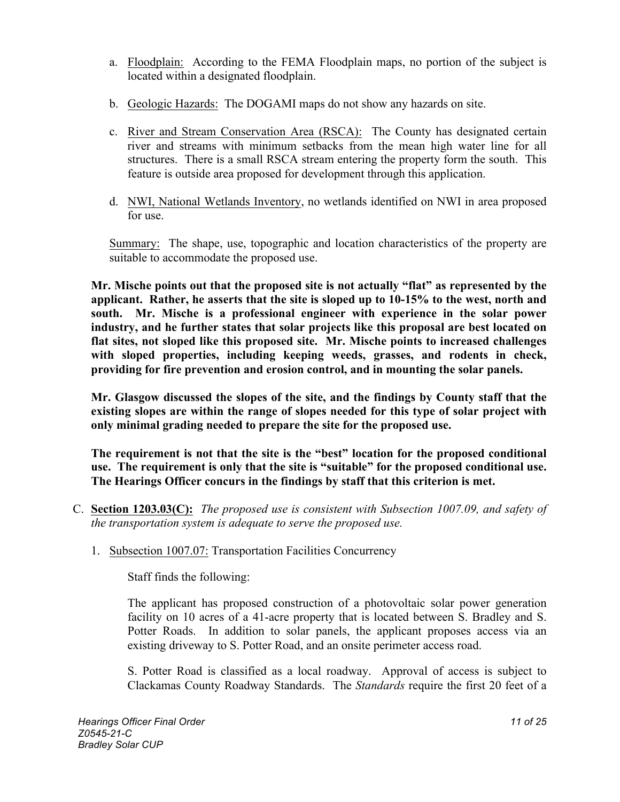- a. Floodplain: According to the FEMA Floodplain maps, no portion of the subject is located within a designated floodplain.
- b. Geologic Hazards: The DOGAMI maps do not show any hazards on site.
- c. River and Stream Conservation Area (RSCA): The County has designated certain river and streams with minimum setbacks from the mean high water line for all structures. There is a small RSCA stream entering the property form the south. This feature is outside area proposed for development through this application.
- d. NWI, National Wetlands Inventory, no wetlands identified on NWI in area proposed for use.

Summary: The shape, use, topographic and location characteristics of the property are suitable to accommodate the proposed use.

**Mr. Mische points out that the proposed site is not actually "flat" as represented by the applicant. Rather, he asserts that the site is sloped up to 10-15% to the west, north and south. Mr. Mische is a professional engineer with experience in the solar power industry, and he further states that solar projects like this proposal are best located on flat sites, not sloped like this proposed site. Mr. Mische points to increased challenges with sloped properties, including keeping weeds, grasses, and rodents in check, providing for fire prevention and erosion control, and in mounting the solar panels.** 

**Mr. Glasgow discussed the slopes of the site, and the findings by County staff that the existing slopes are within the range of slopes needed for this type of solar project with only minimal grading needed to prepare the site for the proposed use.**

**The requirement is not that the site is the "best" location for the proposed conditional use. The requirement is only that the site is "suitable" for the proposed conditional use. The Hearings Officer concurs in the findings by staff that this criterion is met.**

- C. **Section 1203.03(C):** *The proposed use is consistent with Subsection 1007.09, and safety of the transportation system is adequate to serve the proposed use.*
	- 1. Subsection 1007.07: Transportation Facilities Concurrency

Staff finds the following:

The applicant has proposed construction of a photovoltaic solar power generation facility on 10 acres of a 41-acre property that is located between S. Bradley and S. Potter Roads. In addition to solar panels, the applicant proposes access via an existing driveway to S. Potter Road, and an onsite perimeter access road.

S. Potter Road is classified as a local roadway. Approval of access is subject to Clackamas County Roadway Standards. The *Standards* require the first 20 feet of a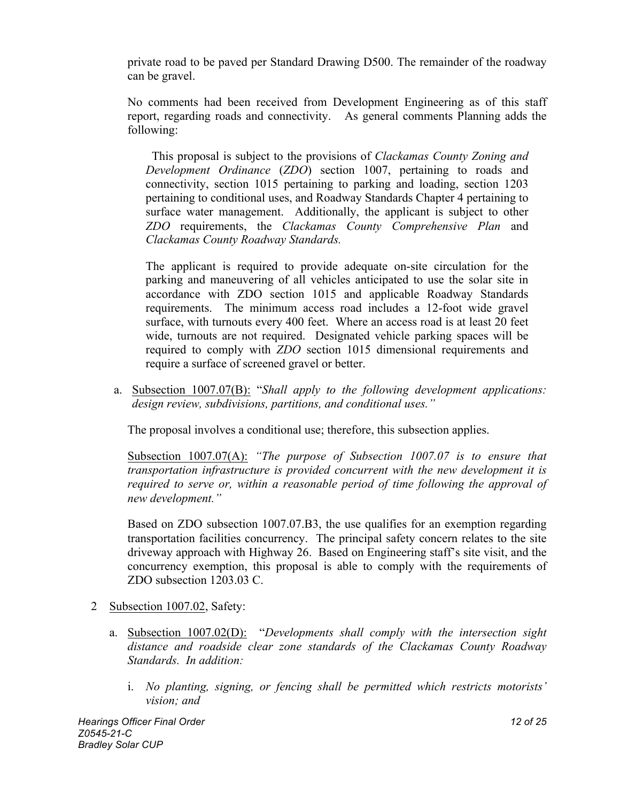private road to be paved per Standard Drawing D500. The remainder of the roadway can be gravel.

No comments had been received from Development Engineering as of this staff report, regarding roads and connectivity. As general comments Planning adds the following:

 This proposal is subject to the provisions of *Clackamas County Zoning and Development Ordinance* (*ZDO*) section 1007, pertaining to roads and connectivity, section 1015 pertaining to parking and loading, section 1203 pertaining to conditional uses, and Roadway Standards Chapter 4 pertaining to surface water management. Additionally, the applicant is subject to other *ZDO* requirements, the *Clackamas County Comprehensive Plan* and *Clackamas County Roadway Standards.* 

The applicant is required to provide adequate on-site circulation for the parking and maneuvering of all vehicles anticipated to use the solar site in accordance with ZDO section 1015 and applicable Roadway Standards requirements. The minimum access road includes a 12-foot wide gravel surface, with turnouts every 400 feet. Where an access road is at least 20 feet wide, turnouts are not required. Designated vehicle parking spaces will be required to comply with *ZDO* section 1015 dimensional requirements and require a surface of screened gravel or better.

a. Subsection 1007.07(B): "*Shall apply to the following development applications: design review, subdivisions, partitions, and conditional uses."*

The proposal involves a conditional use; therefore, this subsection applies.

Subsection 1007.07(A): *"The purpose of Subsection 1007.07 is to ensure that transportation infrastructure is provided concurrent with the new development it is required to serve or, within a reasonable period of time following the approval of new development."* 

Based on ZDO subsection 1007.07.B3, the use qualifies for an exemption regarding transportation facilities concurrency. The principal safety concern relates to the site driveway approach with Highway 26. Based on Engineering staff's site visit, and the concurrency exemption, this proposal is able to comply with the requirements of ZDO subsection 1203.03 C.

- 2 Subsection 1007.02, Safety:
	- a. Subsection 1007.02(D): "*Developments shall comply with the intersection sight distance and roadside clear zone standards of the Clackamas County Roadway Standards. In addition:*
		- i. *No planting, signing, or fencing shall be permitted which restricts motorists' vision; and*

*Hearings Officer Final Order 12 of 25 Z0545-21-C Bradley Solar CUP*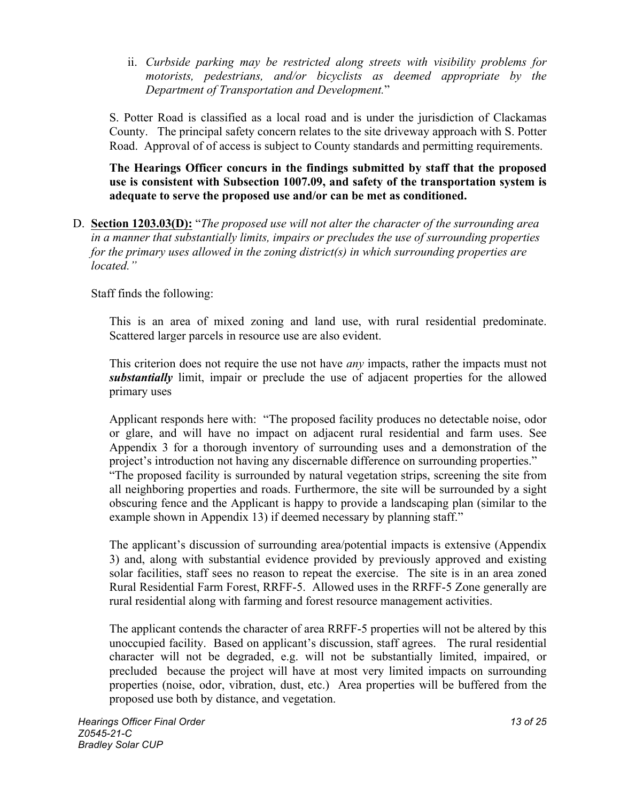ii. *Curbside parking may be restricted along streets with visibility problems for motorists, pedestrians, and/or bicyclists as deemed appropriate by the Department of Transportation and Development.*"

S. Potter Road is classified as a local road and is under the jurisdiction of Clackamas County. The principal safety concern relates to the site driveway approach with S. Potter Road. Approval of of access is subject to County standards and permitting requirements.

**The Hearings Officer concurs in the findings submitted by staff that the proposed use is consistent with Subsection 1007.09, and safety of the transportation system is adequate to serve the proposed use and/or can be met as conditioned.** 

D. **Section 1203.03(D):** "*The proposed use will not alter the character of the surrounding area in a manner that substantially limits, impairs or precludes the use of surrounding properties for the primary uses allowed in the zoning district(s) in which surrounding properties are located."*

Staff finds the following:

This is an area of mixed zoning and land use, with rural residential predominate. Scattered larger parcels in resource use are also evident.

This criterion does not require the use not have *any* impacts, rather the impacts must not *substantially* limit, impair or preclude the use of adjacent properties for the allowed primary uses

Applicant responds here with: "The proposed facility produces no detectable noise, odor or glare, and will have no impact on adjacent rural residential and farm uses. See Appendix 3 for a thorough inventory of surrounding uses and a demonstration of the project's introduction not having any discernable difference on surrounding properties." "The proposed facility is surrounded by natural vegetation strips, screening the site from all neighboring properties and roads. Furthermore, the site will be surrounded by a sight obscuring fence and the Applicant is happy to provide a landscaping plan (similar to the example shown in Appendix 13) if deemed necessary by planning staff."

The applicant's discussion of surrounding area/potential impacts is extensive (Appendix 3) and, along with substantial evidence provided by previously approved and existing solar facilities, staff sees no reason to repeat the exercise. The site is in an area zoned Rural Residential Farm Forest, RRFF-5. Allowed uses in the RRFF-5 Zone generally are rural residential along with farming and forest resource management activities.

The applicant contends the character of area RRFF-5 properties will not be altered by this unoccupied facility. Based on applicant's discussion, staff agrees. The rural residential character will not be degraded, e.g. will not be substantially limited, impaired, or precluded because the project will have at most very limited impacts on surrounding properties (noise, odor, vibration, dust, etc.) Area properties will be buffered from the proposed use both by distance, and vegetation.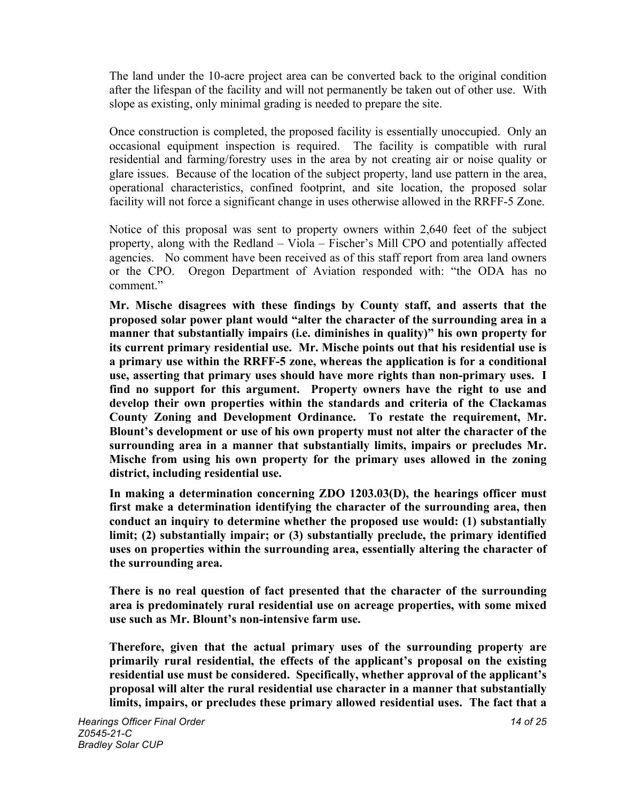The land under the 10-acre project area can be converted back to the original condition after the lifespan of the facility and will not permanently be taken out of other use. With slope as existing, only minimal grading is needed to prepare the site.

Once construction is completed, the proposed facility is essentially unoccupied. Only an occasional equipment inspection is required. The facility is compatible with rural residential and farming/forestry uses in the area by not creating air or noise quality or glare issues. Because of the location of the subject property, land use pattern in the area, operational characteristics, confined footprint, and site location, the proposed solar facility will not force a significant change in uses otherwise allowed in the RRFF-5 Zone.

Notice of this proposal was sent to property owners within 2,640 feet of the subject property, along with the Redland – Viola – Fischer's Mill CPO and potentially affected agencies. No comment have been received as of this staff report from area land owners or the CPO. Oregon Department of Aviation responded with: "the ODA has no comment."

**Mr. Mische disagrees with these findings by County staff, and asserts that the proposed solar power plant would "alter the character of the surrounding area in a manner that substantially impairs (i.e. diminishes in quality)" his own property for its current primary residential use. Mr. Mische points out that his residential use is a primary use within the RRFF-5 zone, whereas the application is for a conditional use, asserting that primary uses should have more rights than non-primary uses. I find no support for this argument. Property owners have the right to use and develop their own properties within the standards and criteria of the Clackamas County Zoning and Development Ordinance. To restate the requirement, Mr. Blount's development or use of his own property must not alter the character of the surrounding area in a manner that substantially limits, impairs or precludes Mr. Mische from using his own property for the primary uses allowed in the zoning district, including residential use.**

**In making a determination concerning ZDO 1203.03(D), the hearings officer must first make a determination identifying the character of the surrounding area, then conduct an inquiry to determine whether the proposed use would: (1) substantially limit; (2) substantially impair; or (3) substantially preclude, the primary identified uses on properties within the surrounding area, essentially altering the character of the surrounding area.**

**There is no real question of fact presented that the character of the surrounding area is predominately rural residential use on acreage properties, with some mixed use such as Mr. Blount's non-intensive farm use.**

**Therefore, given that the actual primary uses of the surrounding property are primarily rural residential, the effects of the applicant's proposal on the existing residential use must be considered. Specifically, whether approval of the applicant's proposal will alter the rural residential use character in a manner that substantially limits, impairs, or precludes these primary allowed residential uses. The fact that a**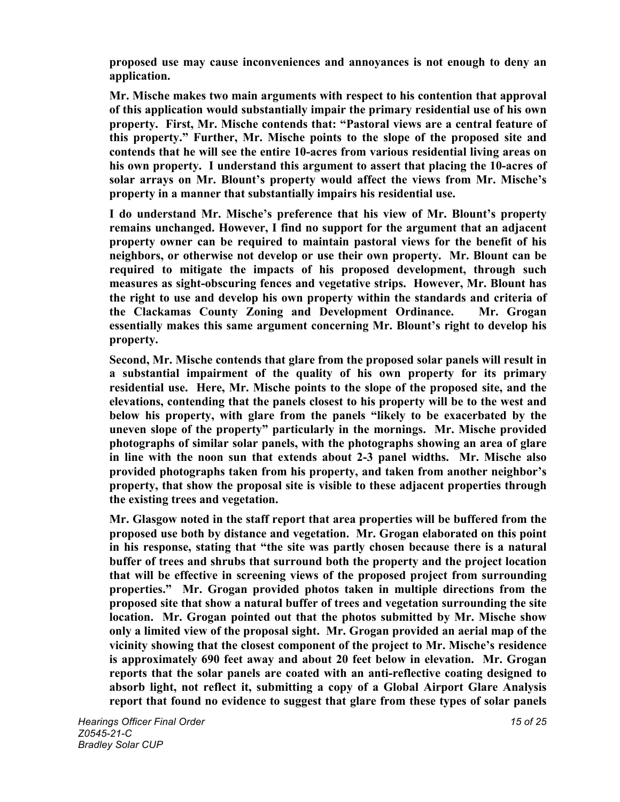**proposed use may cause inconveniences and annoyances is not enough to deny an application.**

**Mr. Mische makes two main arguments with respect to his contention that approval of this application would substantially impair the primary residential use of his own property. First, Mr. Mische contends that: "Pastoral views are a central feature of this property." Further, Mr. Mische points to the slope of the proposed site and contends that he will see the entire 10-acres from various residential living areas on his own property. I understand this argument to assert that placing the 10-acres of solar arrays on Mr. Blount's property would affect the views from Mr. Mische's property in a manner that substantially impairs his residential use.**

**I do understand Mr. Mische's preference that his view of Mr. Blount's property remains unchanged. However, I find no support for the argument that an adjacent property owner can be required to maintain pastoral views for the benefit of his neighbors, or otherwise not develop or use their own property. Mr. Blount can be required to mitigate the impacts of his proposed development, through such measures as sight-obscuring fences and vegetative strips. However, Mr. Blount has the right to use and develop his own property within the standards and criteria of the Clackamas County Zoning and Development Ordinance. Mr. Grogan essentially makes this same argument concerning Mr. Blount's right to develop his property.**

**Second, Mr. Mische contends that glare from the proposed solar panels will result in a substantial impairment of the quality of his own property for its primary residential use. Here, Mr. Mische points to the slope of the proposed site, and the elevations, contending that the panels closest to his property will be to the west and below his property, with glare from the panels "likely to be exacerbated by the uneven slope of the property" particularly in the mornings. Mr. Mische provided photographs of similar solar panels, with the photographs showing an area of glare in line with the noon sun that extends about 2-3 panel widths. Mr. Mische also provided photographs taken from his property, and taken from another neighbor's property, that show the proposal site is visible to these adjacent properties through the existing trees and vegetation.**

**Mr. Glasgow noted in the staff report that area properties will be buffered from the proposed use both by distance and vegetation. Mr. Grogan elaborated on this point in his response, stating that "the site was partly chosen because there is a natural buffer of trees and shrubs that surround both the property and the project location that will be effective in screening views of the proposed project from surrounding properties." Mr. Grogan provided photos taken in multiple directions from the proposed site that show a natural buffer of trees and vegetation surrounding the site location. Mr. Grogan pointed out that the photos submitted by Mr. Mische show only a limited view of the proposal sight. Mr. Grogan provided an aerial map of the vicinity showing that the closest component of the project to Mr. Mische's residence is approximately 690 feet away and about 20 feet below in elevation. Mr. Grogan reports that the solar panels are coated with an anti-reflective coating designed to absorb light, not reflect it, submitting a copy of a Global Airport Glare Analysis report that found no evidence to suggest that glare from these types of solar panels**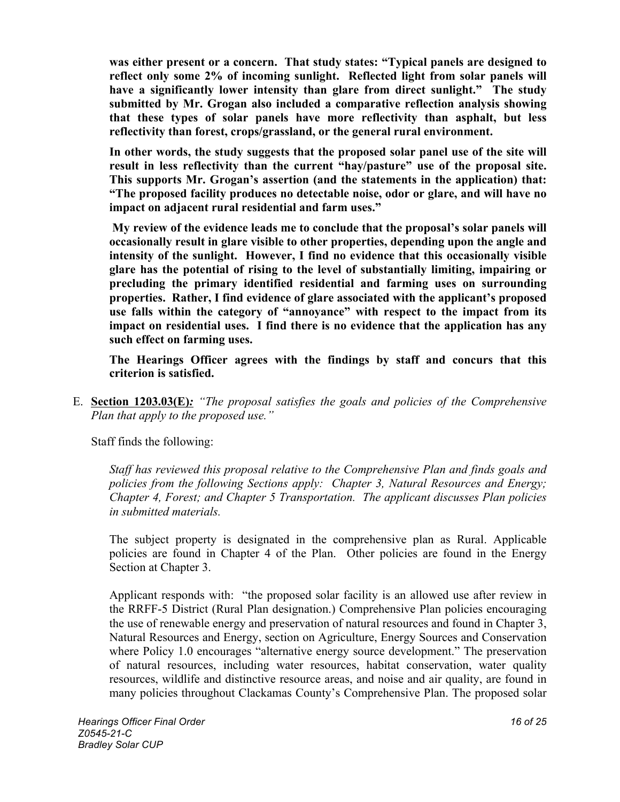**was either present or a concern. That study states: "Typical panels are designed to reflect only some 2% of incoming sunlight. Reflected light from solar panels will have a significantly lower intensity than glare from direct sunlight." The study submitted by Mr. Grogan also included a comparative reflection analysis showing that these types of solar panels have more reflectivity than asphalt, but less reflectivity than forest, crops/grassland, or the general rural environment.** 

**In other words, the study suggests that the proposed solar panel use of the site will result in less reflectivity than the current "hay/pasture" use of the proposal site. This supports Mr. Grogan's assertion (and the statements in the application) that: "The proposed facility produces no detectable noise, odor or glare, and will have no impact on adjacent rural residential and farm uses."**

**My review of the evidence leads me to conclude that the proposal's solar panels will occasionally result in glare visible to other properties, depending upon the angle and intensity of the sunlight. However, I find no evidence that this occasionally visible glare has the potential of rising to the level of substantially limiting, impairing or precluding the primary identified residential and farming uses on surrounding properties. Rather, I find evidence of glare associated with the applicant's proposed use falls within the category of "annoyance" with respect to the impact from its impact on residential uses. I find there is no evidence that the application has any such effect on farming uses.**

**The Hearings Officer agrees with the findings by staff and concurs that this criterion is satisfied.** 

E. **Section 1203.03(E)***: "The proposal satisfies the goals and policies of the Comprehensive Plan that apply to the proposed use."*

Staff finds the following:

*Staff has reviewed this proposal relative to the Comprehensive Plan and finds goals and policies from the following Sections apply: Chapter 3, Natural Resources and Energy; Chapter 4, Forest; and Chapter 5 Transportation. The applicant discusses Plan policies in submitted materials.*

The subject property is designated in the comprehensive plan as Rural. Applicable policies are found in Chapter 4 of the Plan. Other policies are found in the Energy Section at Chapter 3.

Applicant responds with: "the proposed solar facility is an allowed use after review in the RRFF-5 District (Rural Plan designation.) Comprehensive Plan policies encouraging the use of renewable energy and preservation of natural resources and found in Chapter 3, Natural Resources and Energy, section on Agriculture, Energy Sources and Conservation where Policy 1.0 encourages "alternative energy source development." The preservation of natural resources, including water resources, habitat conservation, water quality resources, wildlife and distinctive resource areas, and noise and air quality, are found in many policies throughout Clackamas County's Comprehensive Plan. The proposed solar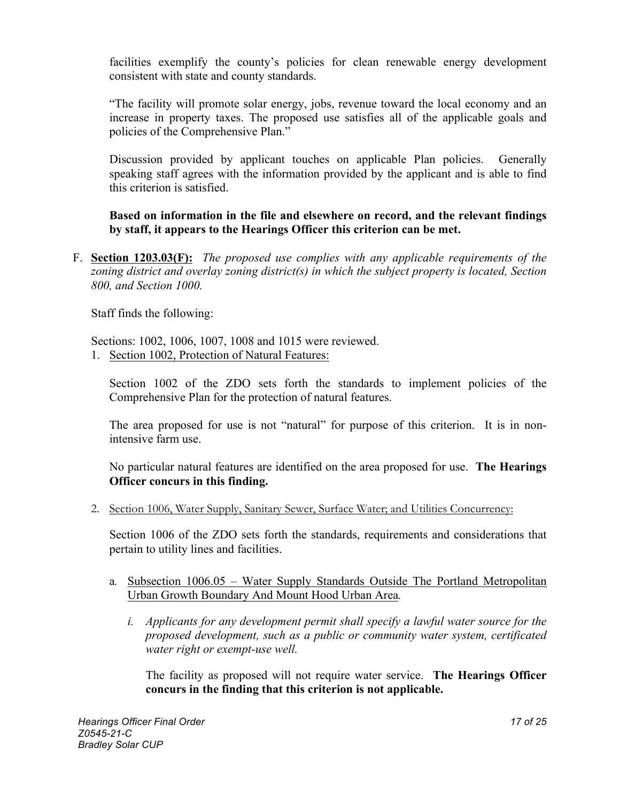facilities exemplify the county's policies for clean renewable energy development consistent with state and county standards.

"The facility will promote solar energy, jobs, revenue toward the local economy and an increase in property taxes. The proposed use satisfies all of the applicable goals and policies of the Comprehensive Plan."

Discussion provided by applicant touches on applicable Plan policies. Generally speaking staff agrees with the information provided by the applicant and is able to find this criterion is satisfied.

**Based on information in the file and elsewhere on record, and the relevant findings by staff, it appears to the Hearings Officer this criterion can be met.** 

F. **Section 1203.03(F):** *The proposed use complies with any applicable requirements of the zoning district and overlay zoning district(s) in which the subject property is located, Section 800, and Section 1000.*

Staff finds the following:

Sections: 1002, 1006, 1007, 1008 and 1015 were reviewed.

1. Section 1002, Protection of Natural Features:

Section 1002 of the ZDO sets forth the standards to implement policies of the Comprehensive Plan for the protection of natural features.

The area proposed for use is not "natural" for purpose of this criterion. It is in nonintensive farm use.

No particular natural features are identified on the area proposed for use. **The Hearings Officer concurs in this finding.**

2. Section 1006, Water Supply, Sanitary Sewer, Surface Water; and Utilities Concurrency:

Section 1006 of the ZDO sets forth the standards, requirements and considerations that pertain to utility lines and facilities.

- a*.* Subsection 1006.05 Water Supply Standards Outside The Portland Metropolitan Urban Growth Boundary And Mount Hood Urban Area*.* 
	- *i. Applicants for any development permit shall specify a lawful water source for the proposed development, such as a public or community water system, certificated water right or exempt-use well.*

The facility as proposed will not require water service. **The Hearings Officer concurs in the finding that this criterion is not applicable.**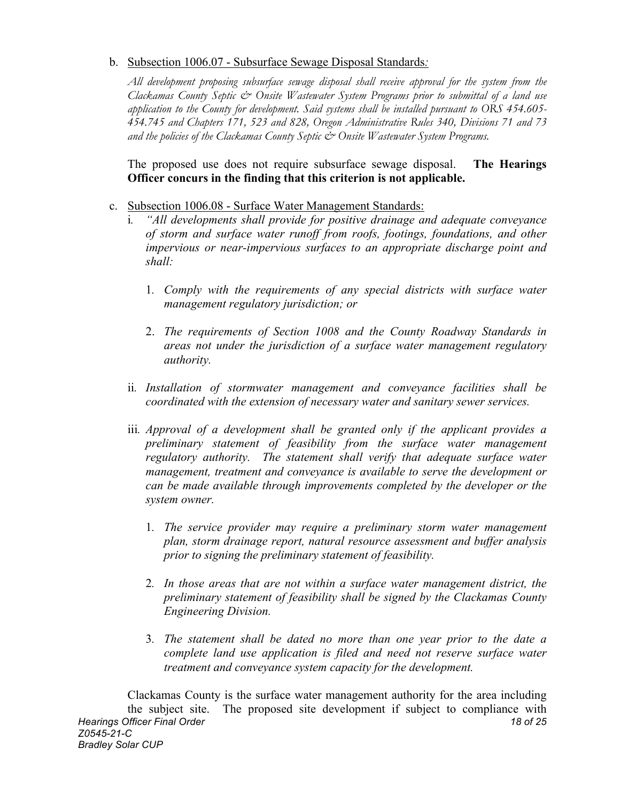## b. Subsection 1006.07 - Subsurface Sewage Disposal Standards*:*

*All development proposing subsurface sewage disposal shall receive approval for the system from the Clackamas County Septic & Onsite Wastewater System Programs prior to submittal of a land use application to the County for development. Said systems shall be installed pursuant to ORS 454.605- 454.745 and Chapters 171, 523 and 828, Oregon Administrative Rules 340, Divisions 71 and 73 and the policies of the Clackamas County Septic & Onsite Wastewater System Programs.* 

The proposed use does not require subsurface sewage disposal. **The Hearings Officer concurs in the finding that this criterion is not applicable.**

- c. Subsection 1006.08 Surface Water Management Standards:
	- i*. "All developments shall provide for positive drainage and adequate conveyance of storm and surface water runoff from roofs, footings, foundations, and other impervious or near-impervious surfaces to an appropriate discharge point and shall:* 
		- 1*. Comply with the requirements of any special districts with surface water management regulatory jurisdiction; or*
		- 2. *The requirements of Section 1008 and the County Roadway Standards in areas not under the jurisdiction of a surface water management regulatory authority.*
	- ii*. Installation of stormwater management and conveyance facilities shall be coordinated with the extension of necessary water and sanitary sewer services.*
	- iii*. Approval of a development shall be granted only if the applicant provides a preliminary statement of feasibility from the surface water management regulatory authority. The statement shall verify that adequate surface water management, treatment and conveyance is available to serve the development or can be made available through improvements completed by the developer or the system owner.* 
		- 1*. The service provider may require a preliminary storm water management plan, storm drainage report, natural resource assessment and buffer analysis prior to signing the preliminary statement of feasibility.*
		- 2*. In those areas that are not within a surface water management district, the preliminary statement of feasibility shall be signed by the Clackamas County Engineering Division.*
		- 3*. The statement shall be dated no more than one year prior to the date a complete land use application is filed and need not reserve surface water treatment and conveyance system capacity for the development.*

*Hearings Officer Final Order 18 of 25 Z0545-21-C Bradley Solar CUP* Clackamas County is the surface water management authority for the area including the subject site. The proposed site development if subject to compliance with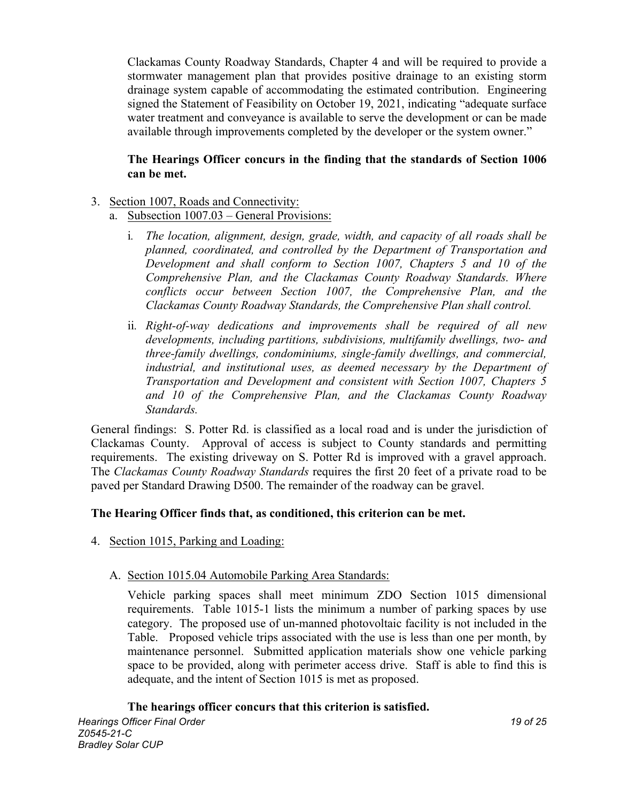Clackamas County Roadway Standards, Chapter 4 and will be required to provide a stormwater management plan that provides positive drainage to an existing storm drainage system capable of accommodating the estimated contribution. Engineering signed the Statement of Feasibility on October 19, 2021, indicating "adequate surface water treatment and conveyance is available to serve the development or can be made available through improvements completed by the developer or the system owner."

## **The Hearings Officer concurs in the finding that the standards of Section 1006 can be met.**

## 3. Section 1007, Roads and Connectivity:

- a. Subsection 1007.03 General Provisions:
	- i*. The location, alignment, design, grade, width, and capacity of all roads shall be planned, coordinated, and controlled by the Department of Transportation and Development and shall conform to Section 1007, Chapters 5 and 10 of the Comprehensive Plan, and the Clackamas County Roadway Standards. Where conflicts occur between Section 1007, the Comprehensive Plan, and the Clackamas County Roadway Standards, the Comprehensive Plan shall control.*
	- ii*. Right-of-way dedications and improvements shall be required of all new developments, including partitions, subdivisions, multifamily dwellings, two- and three-family dwellings, condominiums, single-family dwellings, and commercial, industrial, and institutional uses, as deemed necessary by the Department of Transportation and Development and consistent with Section 1007, Chapters 5 and 10 of the Comprehensive Plan, and the Clackamas County Roadway Standards.*

General findings: S. Potter Rd. is classified as a local road and is under the jurisdiction of Clackamas County. Approval of access is subject to County standards and permitting requirements. The existing driveway on S. Potter Rd is improved with a gravel approach. The *Clackamas County Roadway Standards* requires the first 20 feet of a private road to be paved per Standard Drawing D500. The remainder of the roadway can be gravel.

#### **The Hearing Officer finds that, as conditioned, this criterion can be met.**

4. Section 1015, Parking and Loading:

#### A. Section 1015.04 Automobile Parking Area Standards:

Vehicle parking spaces shall meet minimum ZDO Section 1015 dimensional requirements. Table 1015-1 lists the minimum a number of parking spaces by use category. The proposed use of un-manned photovoltaic facility is not included in the Table. Proposed vehicle trips associated with the use is less than one per month, by maintenance personnel. Submitted application materials show one vehicle parking space to be provided, along with perimeter access drive. Staff is able to find this is adequate, and the intent of Section 1015 is met as proposed.

#### **The hearings officer concurs that this criterion is satisfied.**

*Hearings Officer Final Order 19 of 25 Z0545-21-C Bradley Solar CUP*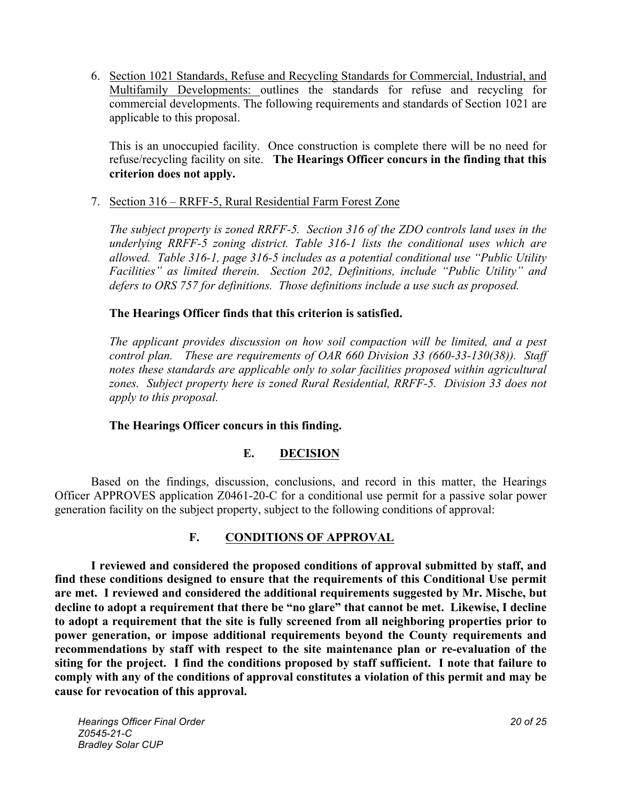6. Section 1021 Standards, Refuse and Recycling Standards for Commercial, Industrial, and Multifamily Developments: outlines the standards for refuse and recycling for commercial developments. The following requirements and standards of Section 1021 are applicable to this proposal.

This is an unoccupied facility. Once construction is complete there will be no need for refuse/recycling facility on site. **The Hearings Officer concurs in the finding that this criterion does not apply.**

7. Section 316 – RRFF-5, Rural Residential Farm Forest Zone

*The subject property is zoned RRFF-5. Section 316 of the ZDO controls land uses in the underlying RRFF-5 zoning district. Table 316-1 lists the conditional uses which are allowed. Table 316-1, page 316-5 includes as a potential conditional use "Public Utility Facilities" as limited therein. Section 202, Definitions, include "Public Utility" and defers to ORS 757 for definitions. Those definitions include a use such as proposed.* 

## **The Hearings Officer finds that this criterion is satisfied.**

*The applicant provides discussion on how soil compaction will be limited, and a pest control plan. These are requirements of OAR 660 Division 33 (660-33-130(38)). Staff notes these standards are applicable only to solar facilities proposed within agricultural zones. Subject property here is zoned Rural Residential, RRFF-5. Division 33 does not apply to this proposal.* 

#### **The Hearings Officer concurs in this finding.**

## **E. DECISION**

Based on the findings, discussion, conclusions, and record in this matter, the Hearings Officer APPROVES application Z0461-20-C for a conditional use permit for a passive solar power generation facility on the subject property, subject to the following conditions of approval:

## **F. CONDITIONS OF APPROVAL**

**I reviewed and considered the proposed conditions of approval submitted by staff, and find these conditions designed to ensure that the requirements of this Conditional Use permit are met. I reviewed and considered the additional requirements suggested by Mr. Mische, but decline to adopt a requirement that there be "no glare" that cannot be met. Likewise, I decline to adopt a requirement that the site is fully screened from all neighboring properties prior to power generation, or impose additional requirements beyond the County requirements and recommendations by staff with respect to the site maintenance plan or re-evaluation of the siting for the project. I find the conditions proposed by staff sufficient. I note that failure to comply with any of the conditions of approval constitutes a violation of this permit and may be cause for revocation of this approval.**

*Hearings Officer Final Order 20 of 25 Z0545-21-C Bradley Solar CUP*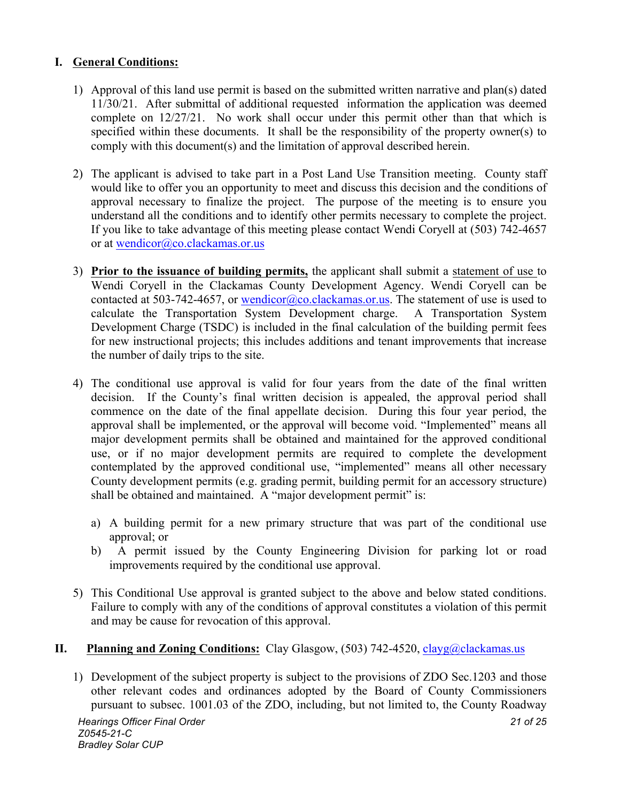## **I. General Conditions:**

- 1) Approval of this land use permit is based on the submitted written narrative and plan(s) dated 11/30/21. After submittal of additional requested information the application was deemed complete on 12/27/21. No work shall occur under this permit other than that which is specified within these documents. It shall be the responsibility of the property owner(s) to comply with this document(s) and the limitation of approval described herein.
- 2) The applicant is advised to take part in a Post Land Use Transition meeting. County staff would like to offer you an opportunity to meet and discuss this decision and the conditions of approval necessary to finalize the project. The purpose of the meeting is to ensure you understand all the conditions and to identify other permits necessary to complete the project. If you like to take advantage of this meeting please contact Wendi Coryell at (503) 742-4657 or at wendicor@co.clackamas.or.us
- 3) **Prior to the issuance of building permits,** the applicant shall submit a statement of use to Wendi Coryell in the Clackamas County Development Agency. Wendi Coryell can be contacted at 503-742-4657, or wendicor@co.clackamas.or.us. The statement of use is used to calculate the Transportation System Development charge. A Transportation System Development Charge (TSDC) is included in the final calculation of the building permit fees for new instructional projects; this includes additions and tenant improvements that increase the number of daily trips to the site.
- 4) The conditional use approval is valid for four years from the date of the final written decision. If the County's final written decision is appealed, the approval period shall commence on the date of the final appellate decision. During this four year period, the approval shall be implemented, or the approval will become void. "Implemented" means all major development permits shall be obtained and maintained for the approved conditional use, or if no major development permits are required to complete the development contemplated by the approved conditional use, "implemented" means all other necessary County development permits (e.g. grading permit, building permit for an accessory structure) shall be obtained and maintained. A "major development permit" is:
	- a) A building permit for a new primary structure that was part of the conditional use approval; or
	- b) A permit issued by the County Engineering Division for parking lot or road improvements required by the conditional use approval.
- 5) This Conditional Use approval is granted subject to the above and below stated conditions. Failure to comply with any of the conditions of approval constitutes a violation of this permit and may be cause for revocation of this approval.

# **II. Planning and Zoning Conditions:** Clay Glasgow, (503) 742-4520, clayg@clackamas.us

1) Development of the subject property is subject to the provisions of ZDO Sec.1203 and those other relevant codes and ordinances adopted by the Board of County Commissioners pursuant to subsec. 1001.03 of the ZDO, including, but not limited to, the County Roadway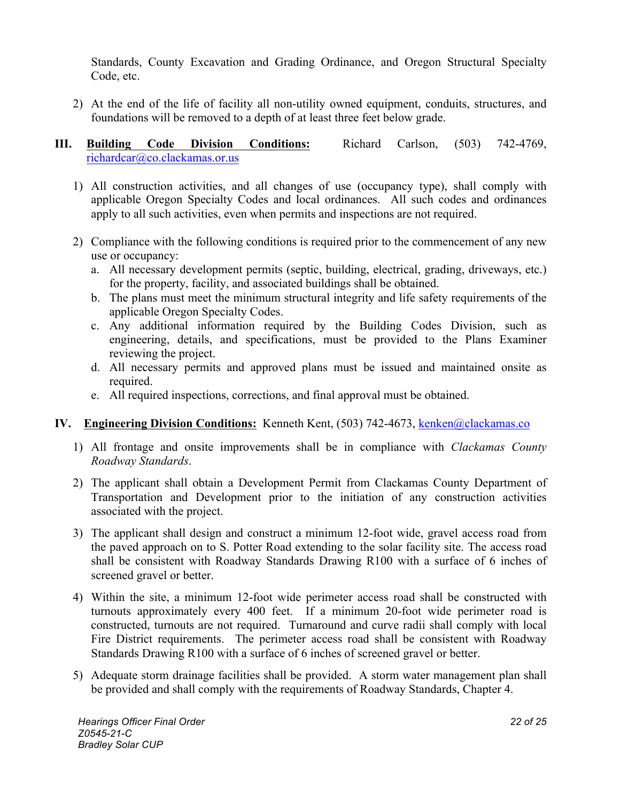Standards, County Excavation and Grading Ordinance, and Oregon Structural Specialty Code, etc.

- 2) At the end of the life of facility all non-utility owned equipment, conduits, structures, and foundations will be removed to a depth of at least three feet below grade.
- **III. Building Code Division Conditions:** Richard Carlson, (503) 742-4769, richardcar@co.clackamas.or.us
	- 1) All construction activities, and all changes of use (occupancy type), shall comply with applicable Oregon Specialty Codes and local ordinances. All such codes and ordinances apply to all such activities, even when permits and inspections are not required.
	- 2) Compliance with the following conditions is required prior to the commencement of any new use or occupancy:
		- a. All necessary development permits (septic, building, electrical, grading, driveways, etc.) for the property, facility, and associated buildings shall be obtained.
		- b. The plans must meet the minimum structural integrity and life safety requirements of the applicable Oregon Specialty Codes.
		- c. Any additional information required by the Building Codes Division, such as engineering, details, and specifications, must be provided to the Plans Examiner reviewing the project.
		- d. All necessary permits and approved plans must be issued and maintained onsite as required.
		- e. All required inspections, corrections, and final approval must be obtained.

# **IV.** Engineering Division Conditions: Kenneth Kent, (503) 742-4673, kenken@clackamas.co

- 1) All frontage and onsite improvements shall be in compliance with *Clackamas County Roadway Standards*.
- 2) The applicant shall obtain a Development Permit from Clackamas County Department of Transportation and Development prior to the initiation of any construction activities associated with the project.
- 3) The applicant shall design and construct a minimum 12-foot wide, gravel access road from the paved approach on to S. Potter Road extending to the solar facility site. The access road shall be consistent with Roadway Standards Drawing R100 with a surface of 6 inches of screened gravel or better.
- 4) Within the site, a minimum 12-foot wide perimeter access road shall be constructed with turnouts approximately every 400 feet. If a minimum 20-foot wide perimeter road is constructed, turnouts are not required. Turnaround and curve radii shall comply with local Fire District requirements. The perimeter access road shall be consistent with Roadway Standards Drawing R100 with a surface of 6 inches of screened gravel or better.
- 5) Adequate storm drainage facilities shall be provided. A storm water management plan shall be provided and shall comply with the requirements of Roadway Standards, Chapter 4.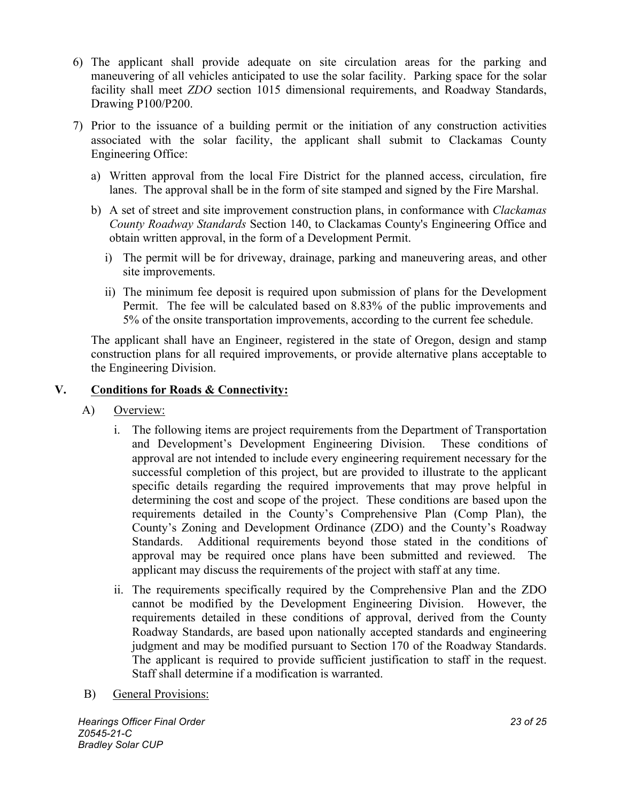- 6) The applicant shall provide adequate on site circulation areas for the parking and maneuvering of all vehicles anticipated to use the solar facility. Parking space for the solar facility shall meet *ZDO* section 1015 dimensional requirements, and Roadway Standards, Drawing P100/P200.
- 7) Prior to the issuance of a building permit or the initiation of any construction activities associated with the solar facility, the applicant shall submit to Clackamas County Engineering Office:
	- a) Written approval from the local Fire District for the planned access, circulation, fire lanes. The approval shall be in the form of site stamped and signed by the Fire Marshal.
	- b) A set of street and site improvement construction plans, in conformance with *Clackamas County Roadway Standards* Section 140, to Clackamas County's Engineering Office and obtain written approval, in the form of a Development Permit.
		- i) The permit will be for driveway, drainage, parking and maneuvering areas, and other site improvements.
		- ii) The minimum fee deposit is required upon submission of plans for the Development Permit. The fee will be calculated based on 8.83% of the public improvements and 5% of the onsite transportation improvements, according to the current fee schedule.

The applicant shall have an Engineer, registered in the state of Oregon, design and stamp construction plans for all required improvements, or provide alternative plans acceptable to the Engineering Division.

## **V. Conditions for Roads & Connectivity:**

- A) Overview:
	- i. The following items are project requirements from the Department of Transportation and Development's Development Engineering Division. These conditions of approval are not intended to include every engineering requirement necessary for the successful completion of this project, but are provided to illustrate to the applicant specific details regarding the required improvements that may prove helpful in determining the cost and scope of the project. These conditions are based upon the requirements detailed in the County's Comprehensive Plan (Comp Plan), the County's Zoning and Development Ordinance (ZDO) and the County's Roadway Standards. Additional requirements beyond those stated in the conditions of approval may be required once plans have been submitted and reviewed. The applicant may discuss the requirements of the project with staff at any time.
	- ii. The requirements specifically required by the Comprehensive Plan and the ZDO cannot be modified by the Development Engineering Division. However, the requirements detailed in these conditions of approval, derived from the County Roadway Standards, are based upon nationally accepted standards and engineering judgment and may be modified pursuant to Section 170 of the Roadway Standards. The applicant is required to provide sufficient justification to staff in the request. Staff shall determine if a modification is warranted.
- B) General Provisions:

*Hearings Officer Final Order 23 of 25 Z0545-21-C Bradley Solar CUP*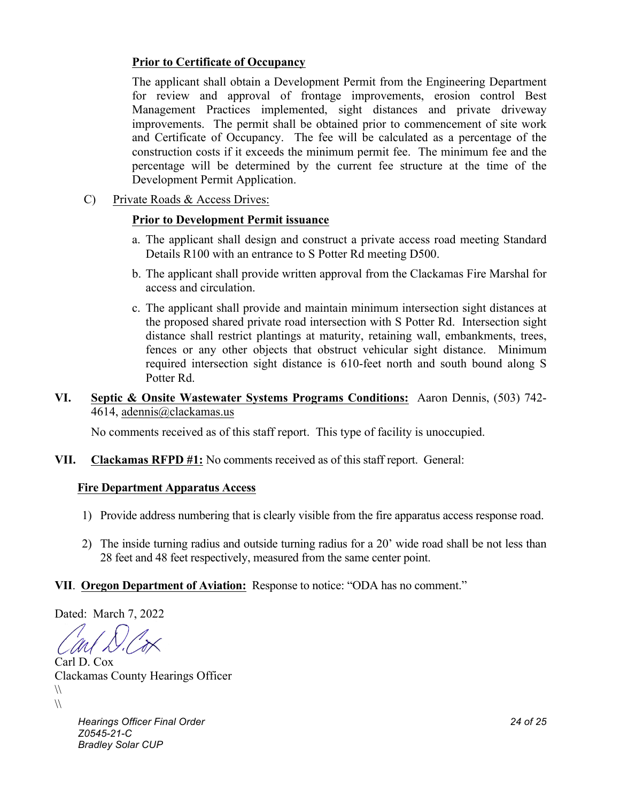## **Prior to Certificate of Occupancy**

The applicant shall obtain a Development Permit from the Engineering Department for review and approval of frontage improvements, erosion control Best Management Practices implemented, sight distances and private driveway improvements. The permit shall be obtained prior to commencement of site work and Certificate of Occupancy. The fee will be calculated as a percentage of the construction costs if it exceeds the minimum permit fee. The minimum fee and the percentage will be determined by the current fee structure at the time of the Development Permit Application.

C) Private Roads & Access Drives:

### **Prior to Development Permit issuance**

- a. The applicant shall design and construct a private access road meeting Standard Details R100 with an entrance to S Potter Rd meeting D500.
- b. The applicant shall provide written approval from the Clackamas Fire Marshal for access and circulation.
- c. The applicant shall provide and maintain minimum intersection sight distances at the proposed shared private road intersection with S Potter Rd. Intersection sight distance shall restrict plantings at maturity, retaining wall, embankments, trees, fences or any other objects that obstruct vehicular sight distance. Minimum required intersection sight distance is 610-feet north and south bound along S Potter Rd.
- **VI. Septic & Onsite Wastewater Systems Programs Conditions:** Aaron Dennis, (503) 742- 4614, adennis@clackamas.us

No comments received as of this staff report. This type of facility is unoccupied.

**VII. Clackamas RFPD #1:** No comments received as of this staff report. General:

#### **Fire Department Apparatus Access**

- 1) Provide address numbering that is clearly visible from the fire apparatus access response road.
- 2) The inside turning radius and outside turning radius for a 20' wide road shall be not less than 28 feet and 48 feet respectively, measured from the same center point.
- **VII**. **Oregon Department of Aviation:** Response to notice: "ODA has no comment."

Dated: March 7, 2022

Carl D. Cox Clackamas County Hearings Officer  $\sqrt{ }$  $\sqrt{ }$ 

> *Hearings Officer Final Order 24 of 25 Z0545-21-C Bradley Solar CUP*